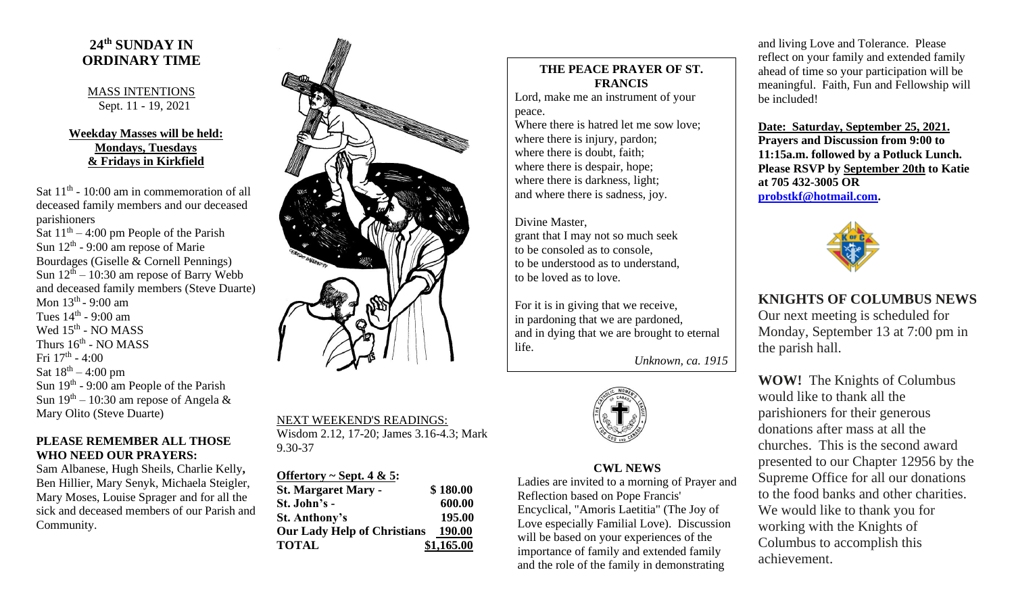# **24 th SUNDAY IN ORDINARY TIME**

#### MASS INTENTIONS Sept. 11 - 19, 2021

### **Weekday Masses will be held: Mondays, Tuesdays & Fridays in Kirkfield**

Sat  $11<sup>th</sup>$  - 10:00 am in commemoration of all deceased family members and our deceased parishioners

Sat  $11<sup>th</sup> - 4:00$  pm People of the Parish Sun  $12<sup>th</sup>$  - 9:00 am repose of Marie Bourdages (Giselle & Cornell Pennings) Sun  $12^{th} - 10:30$  am repose of Barry Webb and deceased family members (Steve Duarte) Mon 13<sup>th</sup> - 9:00 am Tues  $14<sup>th</sup>$  - 9:00 am Wed 15<sup>th</sup> - NO MASS Thurs  $16^{\text{th}}$  - NO MASS Fri 17<sup>th</sup> - 4:00 Sat  $18^{th} - 4:00$  pm Sun 19<sup>th</sup> - 9:00 am People of the Parish Sun  $19<sup>th</sup> - 10:30$  am repose of Angela & Mary Olito (Steve Duarte)

### **PLEASE REMEMBER ALL THOSE WHO NEED OUR PRAYERS:**

Sam Albanese, Hugh Sheils, Charlie Kelly**,**  Ben Hillier, Mary Senyk, Michaela Steigler, Mary Moses, Louise Sprager and for all the sick and deceased members of our Parish and Community.



## NEXT WEEKEND'S READINGS: Wisdom 2.12, 17-20; James 3.16-4.3; Mark 9.30-37

| Offertory ~ Sept. 4 & 5:           |            |
|------------------------------------|------------|
| <b>St. Margaret Mary -</b>         | \$180.00   |
| St. John's -                       | 600.00     |
| <b>St. Anthony's</b>               | 195.00     |
| <b>Our Lady Help of Christians</b> | 190.00     |
| <b>TOTAL</b>                       | \$1,165.00 |

# **THE PEACE PRAYER OF ST. FRANCIS**

Lord, make me an instrument of your peace.

Where there is hatred let me sow love; where there is injury, pardon; where there is doubt, faith; where there is despair, hope; where there is darkness, light; and where there is sadness, joy.

Divine Master, grant that I may not so much seek to be consoled as to console, to be understood as to understand, to be loved as to love.

For it is in giving that we receive, in pardoning that we are pardoned, and in dying that we are brought to eternal life.

*Unknown, ca. 1915*



**CWL NEWS** Ladies are invited to a morning of Prayer and Reflection based on Pope Francis' Encyclical, "Amoris Laetitia" (The Joy of Love especially Familial Love). Discussion will be based on your experiences of the importance of family and extended family and the role of the family in demonstrating

and living Love and Tolerance. Please reflect on your family and extended family ahead of time so your participation will be meaningful. Faith, Fun and Fellowship will be included!

**Date: Saturday, September 25, 2021. Prayers and Discussion from 9:00 to 11:15a.m. followed by a Potluck Lunch. Please RSVP by September 20th to Katie at 705 432-3005 OR [probstkf@hotmail.com.](mailto:probstkf@hotmail.com)**



**KNIGHTS OF COLUMBUS NEWS**

Our next meeting is scheduled for Monday, September 13 at 7:00 pm in the parish hall.

**WOW!** The Knights of Columbus would like to thank all the parishioners for their generous donations after mass at all the churches. This is the second award presented to our Chapter 12956 by the Supreme Office for all our donations to the food banks and other charities. We would like to thank you for working with the Knights of Columbus to accomplish this achievement.